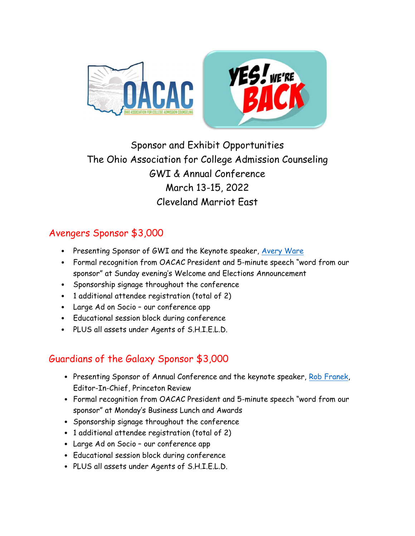

# Sponsor and Exhibit Opportunities The Ohio Association for College Admission Counseling GWI & Annual Conference March 13-15, 2022 Cleveland Marriot East

### Avengers Sponsor \$3,000

- Presenting Sponsor of GWI and the Keynote speaker, Avery Ware
- Formal recognition from OACAC President and 5-minute speech "word from our sponsor" at Sunday evening's Welcome and Elections Announcement
- Sponsorship signage throughout the conference
- 1 additional attendee registration (total of 2)
- Large Ad on Socio our conference app
- Educational session block during conference
- PLUS all assets under Agents of S.H.I.E.L.D.

# Guardians of the Galaxy Sponsor \$3,000

- Presenting Sponsor of Annual Conference and the keynote speaker, Rob Franek, Editor-In-Chief, Princeton Review
- Formal recognition from OACAC President and 5-minute speech "word from our sponsor" at Monday's Business Lunch and Awards
- Sponsorship signage throughout the conference
- 1 additional attendee registration (total of 2)
- Large Ad on Socio our conference app
- Educational session block during conference
- PLUS all assets under Agents of S.H.I.E.L.D.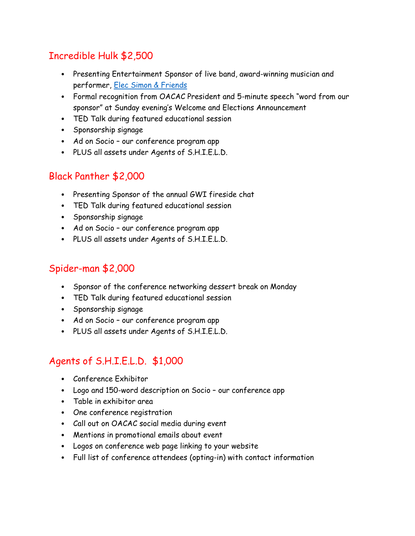### Incredible Hulk \$2,500

- Presenting Entertainment Sponsor of live band, award-winning musician and performer, Elec Simon & Friends
- Formal recognition from OACAC President and 5-minute speech "word from our sponsor" at Sunday evening's Welcome and Elections Announcement
- TED Talk during featured educational session
- Sponsorship signage
- Ad on Socio our conference program app
- PLUS all assets under Agents of S.H.I.E.L.D.

#### Black Panther \$2,000

- Presenting Sponsor of the annual GWI fireside chat
- TED Talk during featured educational session
- Sponsorship signage
- Ad on Socio our conference program app
- PLUS all assets under Agents of S.H.I.E.L.D.

### Spider-man \$2,000

- Sponsor of the conference networking dessert break on Monday
- TED Talk during featured educational session
- Sponsorship signage
- Ad on Socio our conference program app
- PLUS all assets under Agents of S.H.I.E.L.D.

# Agents of S.H.I.E.L.D. \$1,000

- Conference Exhibitor
- Logo and 150-word description on Socio our conference app
- Table in exhibitor area
- One conference registration
- Call out on OACAC social media during event
- Mentions in promotional emails about event
- Logos on conference web page linking to your website
- Full list of conference attendees (opting-in) with contact information